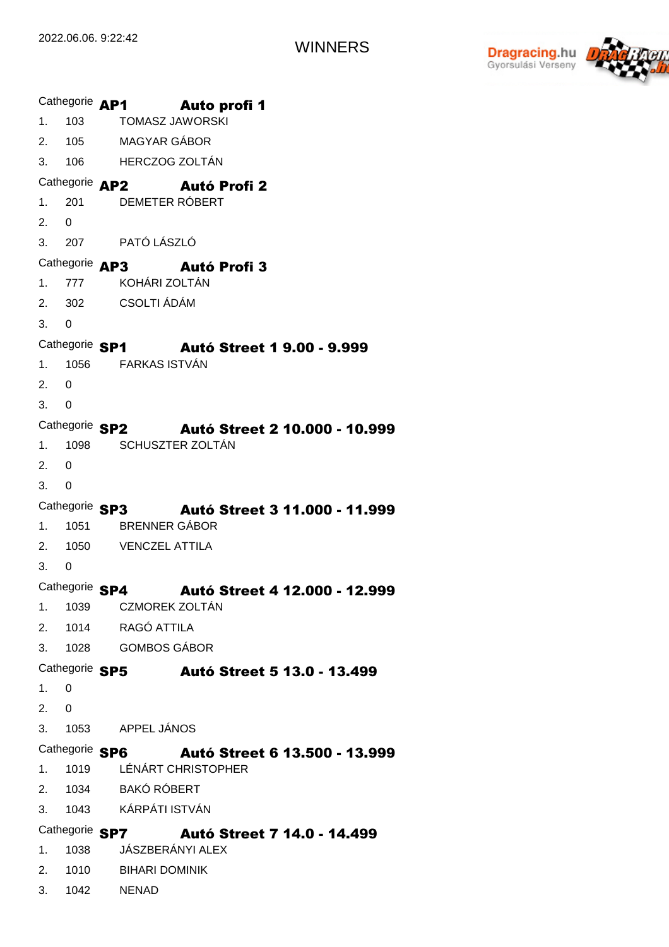

Cathegorie **AP1** 1. 2. 3. 103 105 106 TOMASZ JAWORSKI MAGYAR GÁBOR HERCZOG ZOLTÁN Auto profi 1 Cathegorie **AP2** Autó Profi 2 1. 2. 3. 207 201  $\Omega$ DEMETER RÓBERT PATÓ LÁSZLÓ Cathegorie **AP3** Autó Profi 3 1. 2. 3. 777 302 0 KOHÁRI ZOLTÁN CSOLTI ÁDÁM Cathegorie SP1 1. 2. 3. 1056 0  $\Omega$ FARKAS ISTVÁN Autó Street 1 9.00 - 9.999 Cathegorie SP2 1. 2. 3. 1098  $\Omega$ 0 SCHUSZTER ZOLTÁN Autó Street 2 10.000 - 10.999 Cathegorie SP3 1. 2. 3. 1051 1050 0 BRENNER GÁBOR VENCZEL ATTILA Autó Street 3 11.000 - 11.999 Cathegorie SP4 **Autó Street 4 12.000 - 12.999** 1. 2. 1014 3. 1028 GOMBOS GÁBOR 1039 CZMOREK ZOLTÁN RAGÓ ATTILA Cathegorie SP5 1. 2. 3. 0  $\Omega$ 1053 APPEL JÁNOS Autó Street 5 13.0 - 13.499 Cathegorie SP6 1. 2. 3. 1019 1034 1043 LÉNÁRT CHRISTOPHER BAKÓ RÓBERT KÁRPÁTI ISTVÁN Autó Street 6 13.500 - 13.999 Cathegorie SP7 1. 2. 3. 1038 1010 1042 NENAD JÁSZBERÁNYI ALEX BIHARI DOMINIK Autó Street 7 14.0 - 14.499